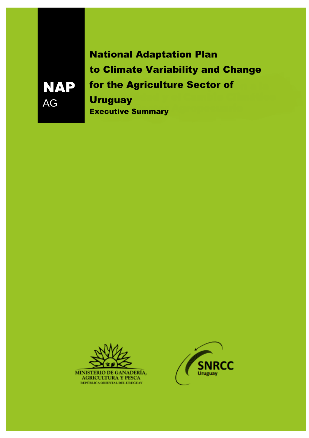National Adaptation Plan to Climate Variability and Change for the Agriculture Sector of **Uruguay** Executive Summary



NAP

AG

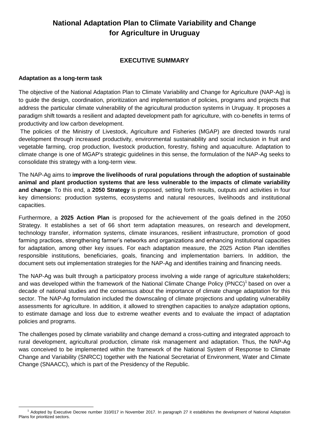## **National Adaptation Plan to Climate Variability and Change for Agriculture in Uruguay**

## **EXECUTIVE SUMMARY**

## **Adaptation as a long-term task**

The objective of the National Adaptation Plan to Climate Variability and Change for Agriculture (NAP-Ag) is to guide the design, coordination, prioritization and implementation of policies, programs and projects that address the particular climate vulnerability of the agricultural production systems in Uruguay. It proposes a paradigm shift towards a resilient and adapted development path for agriculture, with co-benefits in terms of productivity and low carbon development.

The policies of the Ministry of Livestock, Agriculture and Fisheries (MGAP) are directed towards rural development through increased productivity, environmental sustainability and social inclusion in fruit and vegetable farming, crop production, livestock production, forestry, fishing and aquaculture. Adaptation to climate change is one of MGAP's strategic guidelines in this sense, the formulation of the NAP-Ag seeks to consolidate this strategy with a long-term view.

The NAP-Ag aims to **improve the livelihoods of rural populations through the adoption of sustainable animal and plant production systems that are less vulnerable to the impacts of climate variability and change**. To this end, a **2050 Strategy** is proposed, setting forth results, outputs and activities in four key dimensions: production systems, ecosystems and natural resources, livelihoods and institutional capacities.

Furthermore, a **2025 Action Plan** is proposed for the achievement of the goals defined in the 2050 Strategy. It establishes a set of 66 short term adaptation measures, on research and development, technology transfer, information systems, climate insurances, resilient infrastructure, promotion of good farming practices, strengthening farmer's networks and organizations and enhancing institutional capacities for adaptation, among other key issues. For each adaptation measure, the 2025 Action Plan identifies responsible institutions, beneficiaries, goals, financing and implementation barriers. In addition, the document sets out implementation strategies for the NAP-Ag and identifies training and financing needs.

The NAP-Ag was built through a participatory process involving a wide range of agriculture stakeholders; and was developed within the framework of the National Climate Change Policy (PNCC)<sup>1</sup> based on over a decade of national studies and the consensus about the importance of climate change adaptation for this sector. The NAP-Ag formulation included the downscaling of climate projections and updating vulnerability assessments for agriculture. In addition, it allowed to strengthen capacities to analyze adaptation options, to estimate damage and loss due to extreme weather events and to evaluate the impact of adaptation policies and programs.

The challenges posed by climate variability and change demand a cross-cutting and integrated approach to rural development, agricultural production, climate risk management and adaptation. Thus, the NAP-Ag was conceived to be implemented within the framework of the National System of Response to Climate Change and Variability (SNRCC) together with the National Secretariat of Environment, Water and Climate Change (SNAACC), which is part of the Presidency of the Republic.

 $\overline{a}$ <sup>1</sup> Adopted by Executive Decree number 310/017 in November 2017. In paragraph 27 it establishes the development of National Adaptation Plans for prioritized sectors.